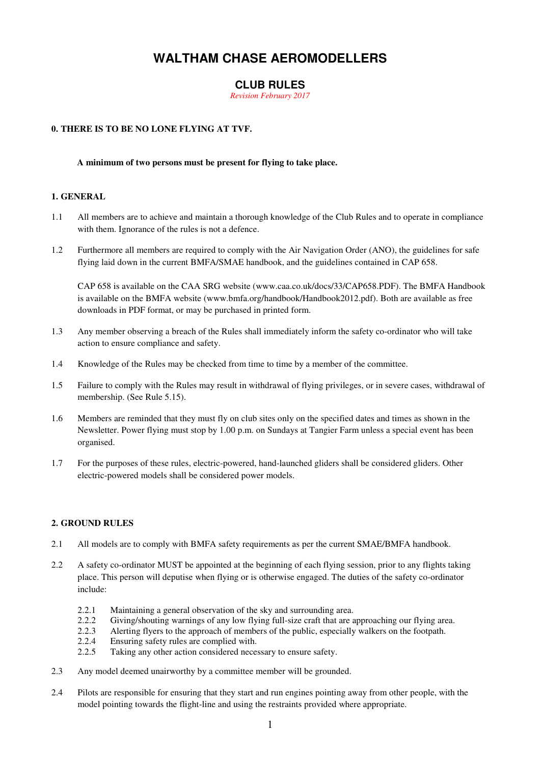## **WALTHAM CHASE AEROMODELLERS**

## **CLUB RULES**

*Revision February 2017* 

#### **0. THERE IS TO BE NO LONE FLYING AT TVF.**

#### **A minimum of two persons must be present for flying to take place.**

#### **1. GENERAL**

- 1.1 All members are to achieve and maintain a thorough knowledge of the Club Rules and to operate in compliance with them. Ignorance of the rules is not a defence.
- 1.2 Furthermore all members are required to comply with the Air Navigation Order (ANO), the guidelines for safe flying laid down in the current BMFA/SMAE handbook, and the guidelines contained in CAP 658.

CAP 658 is available on the CAA SRG website (www.caa.co.uk/docs/33/CAP658.PDF). The BMFA Handbook is available on the BMFA website (www.bmfa.org/handbook/Handbook2012.pdf). Both are available as free downloads in PDF format, or may be purchased in printed form.

- 1.3 Any member observing a breach of the Rules shall immediately inform the safety co-ordinator who will take action to ensure compliance and safety.
- 1.4 Knowledge of the Rules may be checked from time to time by a member of the committee.
- 1.5 Failure to comply with the Rules may result in withdrawal of flying privileges, or in severe cases, withdrawal of membership. (See Rule 5.15).
- 1.6 Members are reminded that they must fly on club sites only on the specified dates and times as shown in the Newsletter. Power flying must stop by 1.00 p.m. on Sundays at Tangier Farm unless a special event has been organised.
- 1.7 For the purposes of these rules, electric-powered, hand-launched gliders shall be considered gliders. Other electric-powered models shall be considered power models.

#### **2. GROUND RULES**

- 2.1 All models are to comply with BMFA safety requirements as per the current SMAE/BMFA handbook.
- 2.2 A safety co-ordinator MUST be appointed at the beginning of each flying session, prior to any flights taking place. This person will deputise when flying or is otherwise engaged. The duties of the safety co-ordinator include:
	- 2.2.1 Maintaining a general observation of the sky and surrounding area.
	- 2.2.2 Giving/shouting warnings of any low flying full-size craft that are approaching our flying area.
	- 2.2.3 Alerting flyers to the approach of members of the public, especially walkers on the footpath.<br>2.2.4 Ensuring safety rules are complied with.
	- Ensuring safety rules are complied with.
	- 2.2.5 Taking any other action considered necessary to ensure safety.
- 2.3 Any model deemed unairworthy by a committee member will be grounded.
- 2.4 Pilots are responsible for ensuring that they start and run engines pointing away from other people, with the model pointing towards the flight-line and using the restraints provided where appropriate.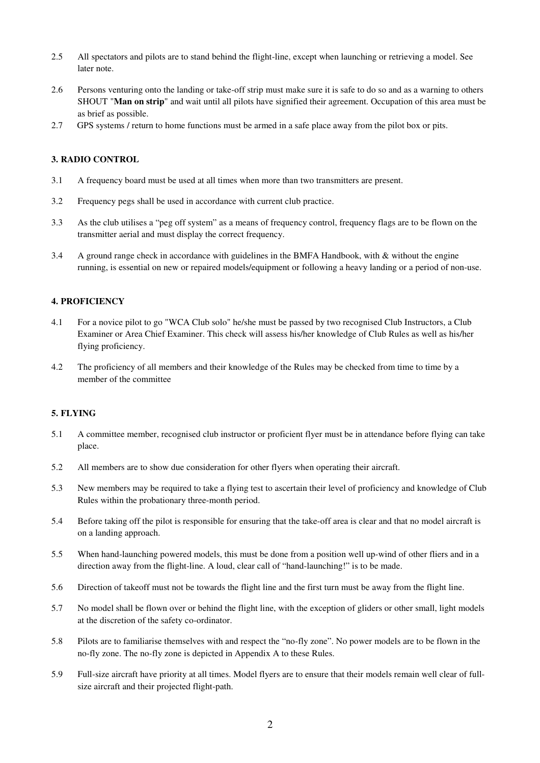- 2.5 All spectators and pilots are to stand behind the flight-line, except when launching or retrieving a model. See later note.
- 2.6 Persons venturing onto the landing or take-off strip must make sure it is safe to do so and as a warning to others SHOUT "**Man on strip**" and wait until all pilots have signified their agreement. Occupation of this area must be as brief as possible.
- 2.7 GPS systems / return to home functions must be armed in a safe place away from the pilot box or pits.

#### **3. RADIO CONTROL**

- 3.1 A frequency board must be used at all times when more than two transmitters are present.
- 3.2 Frequency pegs shall be used in accordance with current club practice.
- 3.3 As the club utilises a "peg off system" as a means of frequency control, frequency flags are to be flown on the transmitter aerial and must display the correct frequency.
- 3.4 A ground range check in accordance with guidelines in the BMFA Handbook, with & without the engine running, is essential on new or repaired models/equipment or following a heavy landing or a period of non-use.

#### **4. PROFICIENCY**

- 4.1 For a novice pilot to go "WCA Club solo" he/she must be passed by two recognised Club Instructors, a Club Examiner or Area Chief Examiner. This check will assess his/her knowledge of Club Rules as well as his/her flying proficiency.
- 4.2 The proficiency of all members and their knowledge of the Rules may be checked from time to time by a member of the committee

#### **5. FLYING**

- 5.1 A committee member, recognised club instructor or proficient flyer must be in attendance before flying can take place.
- 5.2 All members are to show due consideration for other flyers when operating their aircraft.
- 5.3 New members may be required to take a flying test to ascertain their level of proficiency and knowledge of Club Rules within the probationary three-month period.
- 5.4 Before taking off the pilot is responsible for ensuring that the take-off area is clear and that no model aircraft is on a landing approach.
- 5.5 When hand-launching powered models, this must be done from a position well up-wind of other fliers and in a direction away from the flight-line. A loud, clear call of "hand-launching!" is to be made.
- 5.6 Direction of takeoff must not be towards the flight line and the first turn must be away from the flight line.
- 5.7 No model shall be flown over or behind the flight line, with the exception of gliders or other small, light models at the discretion of the safety co-ordinator.
- 5.8 Pilots are to familiarise themselves with and respect the "no-fly zone". No power models are to be flown in the no-fly zone. The no-fly zone is depicted in Appendix A to these Rules.
- 5.9 Full-size aircraft have priority at all times. Model flyers are to ensure that their models remain well clear of fullsize aircraft and their projected flight-path.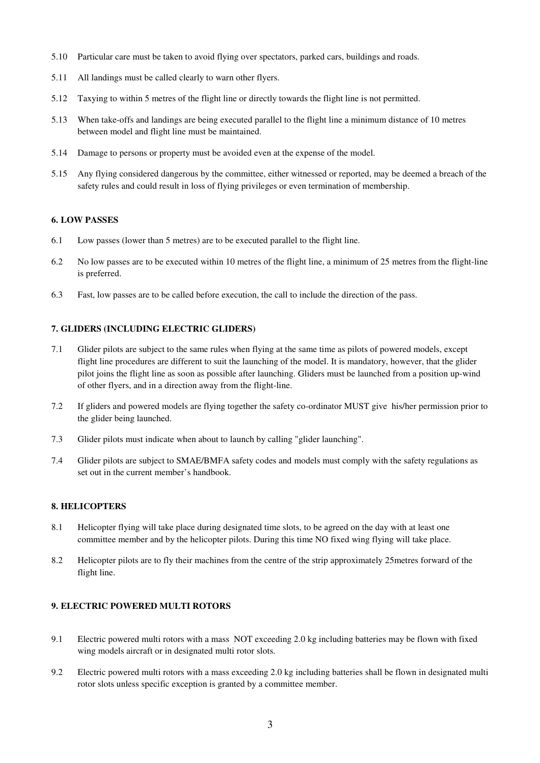- 5.10 Particular care must be taken to avoid flying over spectators, parked cars, buildings and roads.
- 5.11 All landings must be called clearly to warn other flyers.
- 5.12 Taxying to within 5 metres of the flight line or directly towards the flight line is not permitted.
- 5.13 When take-offs and landings are being executed parallel to the flight line a minimum distance of 10 metres between model and flight line must be maintained.
- 5.14 Damage to persons or property must be avoided even at the expense of the model.
- 5.15 Any flying considered dangerous by the committee, either witnessed or reported, may be deemed a breach of the safety rules and could result in loss of flying privileges or even termination of membership.

#### **6. LOW PASSES**

- 6.1 Low passes (lower than 5 metres) are to be executed parallel to the flight line.
- 6.2 No low passes are to be executed within 10 metres of the flight line, a minimum of 25 metres from the flight-line is preferred.
- 6.3 Fast, low passes are to be called before execution, the call to include the direction of the pass.

#### **7. GLIDERS (INCLUDING ELECTRIC GLIDERS)**

- 7.1 Glider pilots are subject to the same rules when flying at the same time as pilots of powered models, except flight line procedures are different to suit the launching of the model. It is mandatory, however, that the glider pilot joins the flight line as soon as possible after launching. Gliders must be launched from a position up-wind of other flyers, and in a direction away from the flight-line.
- 7.2 If gliders and powered models are flying together the safety co-ordinator MUST give his/her permission prior to the glider being launched.
- 7.3 Glider pilots must indicate when about to launch by calling "glider launching".
- 7.4 Glider pilots are subject to SMAE/BMFA safety codes and models must comply with the safety regulations as set out in the current member's handbook.

#### **8. HELICOPTERS**

- 8.1 Helicopter flying will take place during designated time slots, to be agreed on the day with at least one committee member and by the helicopter pilots. During this time NO fixed wing flying will take place.
- 8.2 Helicopter pilots are to fly their machines from the centre of the strip approximately 25metres forward of the flight line.

#### **9. ELECTRIC POWERED MULTI ROTORS**

- 9.1 Electric powered multi rotors with a mass NOT exceeding 2.0 kg including batteries may be flown with fixed wing models aircraft or in designated multi rotor slots.
- 9.2 Electric powered multi rotors with a mass exceeding 2.0 kg including batteries shall be flown in designated multi rotor slots unless specific exception is granted by a committee member.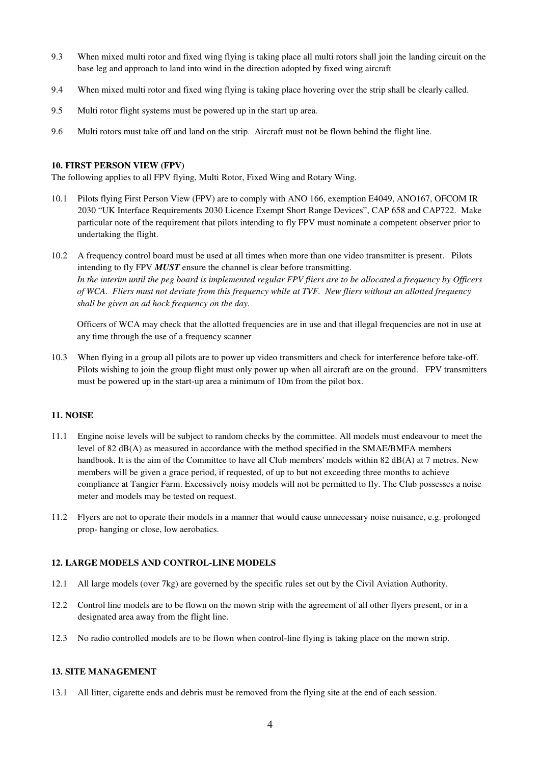- 9.3 When mixed multi rotor and fixed wing flying is taking place all multi rotors shall join the landing circuit on the base leg and approach to land into wind in the direction adopted by fixed wing aircraft
- 9.4 When mixed multi rotor and fixed wing flying is taking place hovering over the strip shall be clearly called.
- 9.5 Multi rotor flight systems must be powered up in the start up area.
- 9.6 Multi rotors must take off and land on the strip. Aircraft must not be flown behind the flight line.

#### **10. FIRST PERSON VIEW (FPV)**

The following applies to all FPV flying, Multi Rotor, Fixed Wing and Rotary Wing.

- 10.1 Pilots flying First Person View (FPV) are to comply with ANO 166, exemption E4049, ANO167, OFCOM IR 2030 "UK Interface Requirements 2030 Licence Exempt Short Range Devices", CAP 658 and CAP722. Make particular note of the requirement that pilots intending to fly FPV must nominate a competent observer prior to undertaking the flight.
- 10.2 A frequency control board must be used at all times when more than one video transmitter is present. Pilots intending to fly FPV *MUST* ensure the channel is clear before transmitting. *In the interim until the peg board is implemented regular FPV fliers are to be allocated a frequency by Officers of WCA. Fliers must not deviate from this frequency while at TVF. New fliers without an allotted frequency shall be given an ad hock frequency on the day.*

Officers of WCA may check that the allotted frequencies are in use and that illegal frequencies are not in use at any time through the use of a frequency scanner

10.3 When flying in a group all pilots are to power up video transmitters and check for interference before take-off. Pilots wishing to join the group flight must only power up when all aircraft are on the ground. FPV transmitters must be powered up in the start-up area a minimum of 10m from the pilot box.

#### **11. NOISE**

- 11.1 Engine noise levels will be subject to random checks by the committee. All models must endeavour to meet the level of 82 dB(A) as measured in accordance with the method specified in the SMAE/BMFA members handbook. It is the aim of the Committee to have all Club members' models within 82 dB(A) at 7 metres. New members will be given a grace period, if requested, of up to but not exceeding three months to achieve compliance at Tangier Farm. Excessively noisy models will not be permitted to fly. The Club possesses a noise meter and models may be tested on request.
- 11.2 Flyers are not to operate their models in a manner that would cause unnecessary noise nuisance, e.g. prolonged prop- hanging or close, low aerobatics.

#### **12. LARGE MODELS AND CONTROL-LINE MODELS**

- 12.1 All large models (over 7kg) are governed by the specific rules set out by the Civil Aviation Authority.
- 12.2 Control line models are to be flown on the mown strip with the agreement of all other flyers present, or in a designated area away from the flight line.
- 12.3 No radio controlled models are to be flown when control-line flying is taking place on the mown strip.

#### **13. SITE MANAGEMENT**

13.1 All litter, cigarette ends and debris must be removed from the flying site at the end of each session.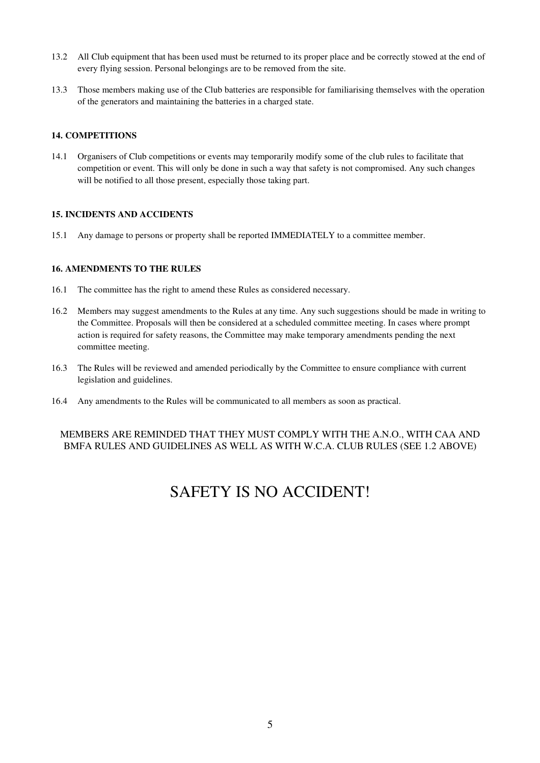- 13.2 All Club equipment that has been used must be returned to its proper place and be correctly stowed at the end of every flying session. Personal belongings are to be removed from the site.
- 13.3 Those members making use of the Club batteries are responsible for familiarising themselves with the operation of the generators and maintaining the batteries in a charged state.

#### **14. COMPETITIONS**

14.1 Organisers of Club competitions or events may temporarily modify some of the club rules to facilitate that competition or event. This will only be done in such a way that safety is not compromised. Any such changes will be notified to all those present, especially those taking part.

#### **15. INCIDENTS AND ACCIDENTS**

15.1 Any damage to persons or property shall be reported IMMEDIATELY to a committee member.

## **16. AMENDMENTS TO THE RULES**

- 16.1 The committee has the right to amend these Rules as considered necessary.
- 16.2 Members may suggest amendments to the Rules at any time. Any such suggestions should be made in writing to the Committee. Proposals will then be considered at a scheduled committee meeting. In cases where prompt action is required for safety reasons, the Committee may make temporary amendments pending the next committee meeting.
- 16.3 The Rules will be reviewed and amended periodically by the Committee to ensure compliance with current legislation and guidelines.
- 16.4 Any amendments to the Rules will be communicated to all members as soon as practical.

#### MEMBERS ARE REMINDED THAT THEY MUST COMPLY WITH THE A.N.O., WITH CAA AND BMFA RULES AND GUIDELINES AS WELL AS WITH W.C.A. CLUB RULES (SEE 1.2 ABOVE)

# SAFETY IS NO ACCIDENT!